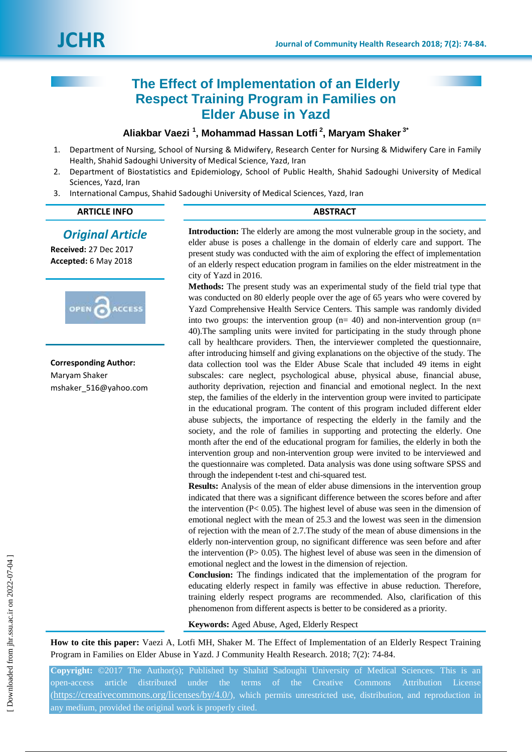# **The Effect of Implementation of an Elderly Respect Training Program in Families on Elder Abuse in Yazd**

## **Aliakbar Vaezi <sup>1</sup> , Mohammad Hassan Lotfi <sup>2</sup> , Maryam Shaker 3\***

- 1. Department of Nursing, School of Nursing & Midwifery, Research Center for Nursing & Midwifery Care in Family Health, Shahid Sadoughi University of Medical Science, Yazd, Iran
- 2. Department of Biostatistics and Epidemiology, School of Public Health, Shahid Sadoughi University of Medical Sciences, Yazd, Iran
- 3. International Campus, Shahid Sadoughi University of Medical Sciences, Yazd, Iran

### **ARTICLE INFO ABSTRACT**

## *Original Article*

**Received:** 27 Dec 2017 **Accepted:** 6 May 2018



**Corresponding Author:** Maryam Shaker mshaker\_516@yahoo.com **Introduction:** The elderly are among the most vulnerable group in the society, and elder abuse is poses a challenge in the domain of elderly care and support. The present study was conducted with the aim of exploring the effect of implementation of an elderly respect education program in families on the elder mistreatment in the city of Yazd in 2016.

**Methods:** The present study was an experimental study of the field trial type that was conducted on 80 elderly people over the age of 65 years who were covered by Yazd Comprehensive Health Service Centers. This sample was randomly divided into two groups: the intervention group  $(n= 40)$  and non-intervention group  $(n= 10)$ 40).The sampling units were invited for participating in the study through phone call by healthcare providers. Then, the interviewer completed the questionnaire, after introducing himself and giving explanations on the objective of the study. The data collection tool was the Elder Abuse Scale that included 49 items in eight subscales: care neglect, psychological abuse, physical abuse, financial abuse, authority deprivation, rejection and financial and emotional neglect. In the next step, the families of the elderly in the intervention group were invited to participate in the educational program. The content of this program included different elder abuse subjects, the importance of respecting the elderly in the family and the society, and the role of families in supporting and protecting the elderly. One month after the end of the educational program for families, the elderly in both the intervention group and non-intervention group were invited to be interviewed and the questionnaire was completed. Data analysis was done using software SPSS and through the independent t-test and chi-squared test.

**Results:** Analysis of the mean of elder abuse dimensions in the intervention group indicated that there was a significant difference between the scores before and after the intervention  $(P< 0.05)$ . The highest level of abuse was seen in the dimension of emotional neglect with the mean of 25.3 and the lowest was seen in the dimension of rejection with the mean of 2.7.The study of the mean of abuse dimensions in the elderly non-intervention group, no significant difference was seen before and after the intervention  $(P> 0.05)$ . The highest level of abuse was seen in the dimension of emotional neglect and the lowest in the dimension of rejection.

**Conclusion:** The findings indicated that the implementation of the program for educating elderly respect in family was effective in abuse reduction. Therefore, training elderly respect programs are recommended. Also, clarification of this phenomenon from different aspects is better to be considered as a priority.

**Keywords:** Aged Abuse, Aged, Elderly Respect

**How to cite this paper:** Vaezi A, Lotfi MH, Shaker M. The Effect of Implementation of an Elderly Respect Training Program in Families on Elder Abuse in Yazd. J Community Health Research. 2018; 7(2): 74-84.

**Copyright:** ©2017 The Author(s); Published by Shahid Sadoughi University of Medical Sciences. This is an open-access article distributed under the terms of the Creative Commons Attribution License (<https://creativecommons.org/licenses/by/4.0/>), which permits unrestricted use, distribution, and reproduction in any medium, provided the original work is properly cited.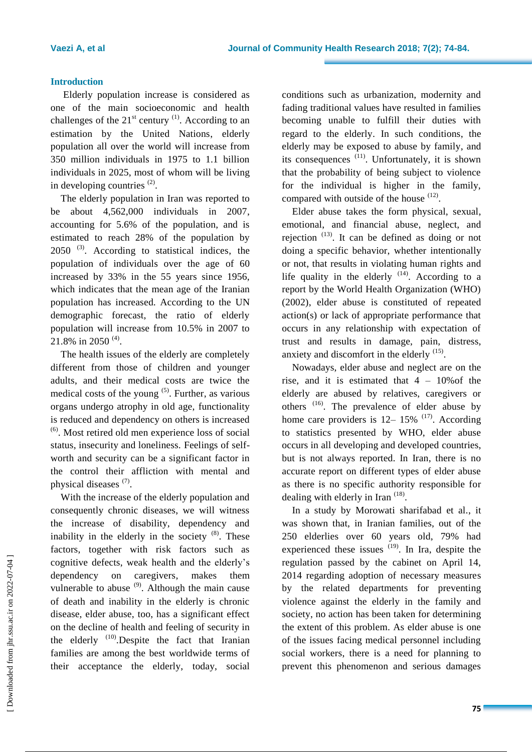### **Introduction**

Elderly population increase is considered as one of the main socioeconomic and health challenges of the  $21<sup>st</sup>$  century <sup>(1)</sup>. According to an estimation by the United Nations, elderly population all over the world will increase from 350 million individuals in 1975 to 1.1 billion individuals in 2025, most of whom will be living in developing countries  $(2)$ .

The elderly population in Iran was reported to be about 4,562,000 individuals in 2007, accounting for 5.6% of the population, and is estimated to reach 28% of the population by  $2050$  <sup>(3)</sup>. According to statistical indices, the population of individuals over the age of 60 increased by 33% in the 55 years since 1956, which indicates that the mean age of the Iranian population has increased. According to the UN demographic forecast, the ratio of elderly population will increase from 10.5% in 2007 to 21.8% in 2050<sup>(4)</sup>.

The health issues of the elderly are completely different from those of children and younger adults, and their medical costs are twice the medical costs of the young  $(5)$ . Further, as various organs undergo atrophy in old age, functionality is reduced and dependency on others is increased  $<sup>(6)</sup>$ . Most retired old men experience loss of social</sup> status, insecurity and loneliness. Feelings of selfworth and security can be a significant factor in the control their affliction with mental and physical diseases  $(7)$ .

With the increase of the elderly population and consequently chronic diseases, we will witness the increase of disability, dependency and inability in the elderly in the society  $(8)$ . These factors, together with risk factors such as cognitive defects, weak health and the elderly's dependency on caregivers, makes them vulnerable to abuse  $(9)$ . Although the main cause of death and inability in the elderly is chronic disease, elder abuse, too, has a significant effect on the decline of health and feeling of security in the elderly  $(10)$ . Despite the fact that Iranian families are among the best worldwide terms of their acceptance the elderly, today, social

conditions such as urbanization, modernity and fading traditional values have resulted in families becoming unable to fulfill their duties with regard to the elderly. In such conditions, the elderly may be exposed to abuse by family, and its consequences <sup>(11)</sup>. Unfortunately, it is shown that the probability of being subject to violence for the individual is higher in the family, compared with outside of the house  $(12)$ .

Elder abuse takes the form physical, sexual, emotional, and financial abuse, neglect, and rejection  $(13)$ . It can be defined as doing or not doing a specific behavior, whether intentionally or not, that results in violating human rights and life quality in the elderly  $(14)$ . According to a report by the World Health Organization (WHO) (2002), elder abuse is constituted of repeated action(s) or lack of appropriate performance that occurs in any relationship with expectation of trust and results in damage, pain, distress, anxiety and discomfort in the elderly  $(15)$ .

Nowadays, elder abuse and neglect are on the rise, and it is estimated that  $4 - 10\%$  of the elderly are abused by relatives, caregivers or others  $(16)$ . The prevalence of elder abuse by home care providers is  $12-15\%$   $^{(17)}$ . According to statistics presented by WHO, elder abuse occurs in all developing and developed countries, but is not always reported. In Iran, there is no accurate report on different types of elder abuse as there is no specific authority responsible for dealing with elderly in Iran<sup>(18)</sup>.

In a study by Morowati sharifabad et al., it was shown that, in Iranian families, out of the 250 elderlies over 60 years old, 79% had experienced these issues  $(19)$ . In Ira, despite the regulation passed by the cabinet on April 14, 2014 regarding adoption of necessary measures by the related departments for preventing violence against the elderly in the family and society, no action has been taken for determining the extent of this problem. As elder abuse is one of the issues facing medical personnel including social workers, there is a need for planning to prevent this phenomenon and serious damages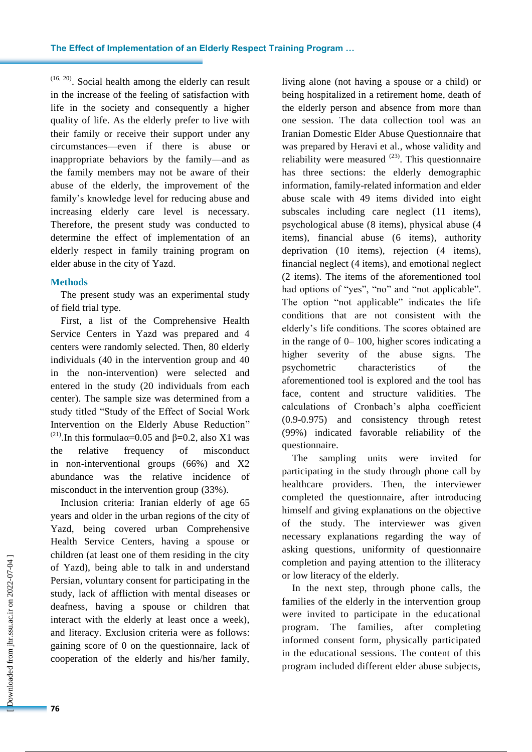$(16, 20)$ . Social health among the elderly can result in the increase of the feeling of satisfaction with life in the society and consequently a higher quality of life. As the elderly prefer to live with their family or receive their support under any circumstances—even if there is abuse or inappropriate behaviors by the family—and as the family members may not be aware of their abuse of the elderly, the improvement of the family's knowledge level for reducing abuse and increasing elderly care level is necessary. Therefore, the present study was conducted to determine the effect of implementation of an elderly respect in family training program on elder abuse in the city of Yazd.

#### **Methods**

The present study was an experimental study of field trial type.

First, a list of the Comprehensive Health Service Centers in Yazd was prepared and 4 centers were randomly selected. Then, 80 elderly individuals (40 in the intervention group and 40 in the non-intervention) were selected and entered in the study (20 individuals from each center). The sample size was determined from a study titled "Study of the Effect of Social Work Intervention on the Elderly Abuse Reduction" <sup>(21)</sup>. In this formulaα=0.05 and  $\beta$ =0.2, also X1 was the relative frequency of misconduct in non-interventional groups (66%) and X2 abundance was the relative incidence of misconduct in the intervention group (33%).

Inclusion criteria: Iranian elderly of age 65 years and older in the urban regions of the city of Yazd, being covered urban Comprehensive Health Service Centers, having a spouse or children (at least one of them residing in the city of Yazd), being able to talk in and understand Persian, voluntary consent for participating in the study, lack of affliction with mental diseases or deafness, having a spouse or children that interact with the elderly at least once a week), and literacy. Exclusion criteria were as follows: gaining score of 0 on the questionnaire, lack of cooperation of the elderly and his/her family,

living alone (not having a spouse or a child) or being hospitalized in a retirement home, death of the elderly person and absence from more than one session. The data collection tool was an Iranian Domestic Elder Abuse Questionnaire that was prepared by Heravi et al., whose validity and reliability were measured  $^{(23)}$ . This questionnaire has three sections: the elderly demographic information, family-related information and elder abuse scale with 49 items divided into eight subscales including care neglect (11 items), psychological abuse (8 items), physical abuse (4 items), financial abuse (6 items), authority deprivation (10 items), rejection (4 items), financial neglect (4 items), and emotional neglect (2 items). The items of the aforementioned tool had options of "yes", "no" and "not applicable". The option "not applicable" indicates the life conditions that are not consistent with the elderly's life conditions. The scores obtained are in the range of 0– 100, higher scores indicating a higher severity of the abuse signs. The psychometric characteristics of the aforementioned tool is explored and the tool has face, content and structure validities. The calculations of Cronbach's alpha coefficient (0.9-0.975) and consistency through retest (99%) indicated favorable reliability of the questionnaire.

The sampling units were invited for participating in the study through phone call by healthcare providers. Then, the interviewer completed the questionnaire, after introducing himself and giving explanations on the objective of the study. The interviewer was given necessary explanations regarding the way of asking questions, uniformity of questionnaire completion and paying attention to the illiteracy or low literacy of the elderly.

In the next step, through phone calls, the families of the elderly in the intervention group were invited to participate in the educational program. The families, after completing informed consent form, physically participated in the educational sessions. The content of this program included different elder abuse subjects,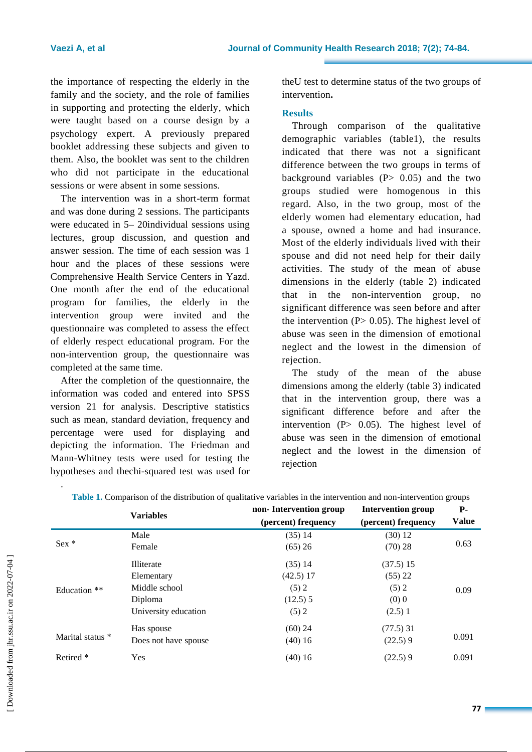the importance of respecting the elderly in the family and the society, and the role of families in supporting and protecting the elderly, which were taught based on a course design by a psychology expert. A previously prepared booklet addressing these subjects and given to them. Also, the booklet was sent to the children who did not participate in the educational sessions or were absent in some sessions.

The intervention was in a short-term format and was done during 2 sessions. The participants were educated in 5– 20individual sessions using lectures, group discussion, and question and answer session. The time of each session was 1 hour and the places of these sessions were Comprehensive Health Service Centers in Yazd. One month after the end of the educational program for families, the elderly in the intervention group were invited and the questionnaire was completed to assess the effect of elderly respect educational program. For the non-intervention group, the questionnaire was completed at the same time.

After the completion of the questionnaire, the information was coded and entered into SPSS version 21 for analysis. Descriptive statistics such as mean, standard deviation, frequency and percentage were used for displaying and depicting the information. The Friedman and Mann-Whitney tests were used for testing the hypotheses and thechi-squared test was used for theU test to determine status of the two groups of intervention**.**

### **Results**

Through comparison of the qualitative demographic variables (table1), the results indicated that there was not a significant difference between the two groups in terms of background variables  $(P> 0.05)$  and the two groups studied were homogenous in this regard. Also, in the two group, most of the elderly women had elementary education, had a spouse, owned a home and had insurance. Most of the elderly individuals lived with their spouse and did not need help for their daily activities. The study of the mean of abuse dimensions in the elderly (table 2) indicated that in the non-intervention group, no significant difference was seen before and after the intervention  $(P> 0.05)$ . The highest level of abuse was seen in the dimension of emotional neglect and the lowest in the dimension of rejection.

The study of the mean of the abuse dimensions among the elderly (table 3) indicated that in the intervention group, there was a significant difference before and after the intervention  $(P> 0.05)$ . The highest level of abuse was seen in the dimension of emotional neglect and the lowest in the dimension of rejection

|                      | <b>Variables</b>     | non-Intervention group | <b>Intervention group</b> | <b>P</b> -   |  |
|----------------------|----------------------|------------------------|---------------------------|--------------|--|
|                      |                      | (percent) frequency    | (percent) frequency       | <b>Value</b> |  |
|                      | Male                 | $(35)$ 14              | (30) 12                   |              |  |
| $Sex *$              | Female               | (65) 26                | (70) 28                   | 0.63         |  |
|                      | Illiterate           | $(35)$ 14              | (37.5) 15                 |              |  |
|                      | Elementary           | $(42.5)$ 17            | (55) 22                   | 0.09         |  |
| Education **         | Middle school        | (5) 2                  | (5) 2                     |              |  |
|                      | Diploma              | $(12.5)$ 5             | $(0)$ 0                   |              |  |
|                      | University education | (5) 2                  | (2.5)1                    |              |  |
|                      | Has spouse           | $(60)$ 24              | $(77.5)$ 31               |              |  |
| Marital status *     | Does not have spouse | $(40)$ 16              | (22.5)9                   | 0.091        |  |
| Retired <sup>*</sup> | Yes                  | $(40)$ 16              | (22.5)9                   | 0.091        |  |

| Table 1. Comparison of the distribution of qualitative variables in the intervention and non-intervention groups |
|------------------------------------------------------------------------------------------------------------------|
|------------------------------------------------------------------------------------------------------------------|

.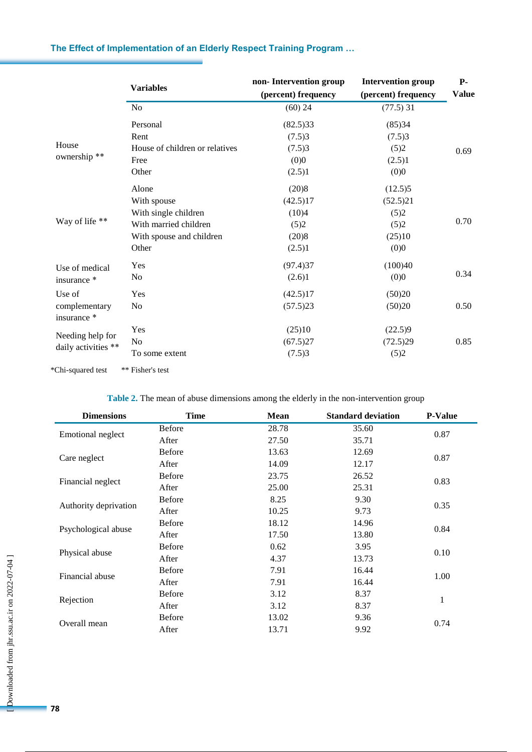|                                         |                                | non-Intervention group | <b>Intervention group</b> | <b>P-</b>    |
|-----------------------------------------|--------------------------------|------------------------|---------------------------|--------------|
|                                         | <b>Variables</b>               | (percent) frequency    | (percent) frequency       | <b>Value</b> |
|                                         | N <sub>0</sub>                 | $(60)$ 24              | $(77.5)$ 31               |              |
| House<br>ownership**                    | Personal                       | (82.5)33               | (85)34                    |              |
|                                         | Rent                           | (7.5)3                 | (7.5)3                    |              |
|                                         | House of children or relatives | (7.5)3                 | (5)2                      | 0.69         |
|                                         | Free                           | (0)0                   | (2.5)1                    |              |
|                                         | Other                          | (2.5)1                 | (0)0                      |              |
|                                         | Alone                          | (20)8                  | (12.5)5                   |              |
|                                         | With spouse                    | (42.5)17               | (52.5)21                  |              |
| Way of life **                          | With single children           | (10)4                  | (5)2                      |              |
|                                         | With married children          | (5)2                   | (5)2                      | 0.70         |
|                                         | With spouse and children       | (20)8                  | (25)10                    |              |
|                                         | Other                          | (2.5)1                 | (0)0                      |              |
| Use of medical                          | Yes                            | (97.4)37               | (100)40                   |              |
| insurance *                             | N <sub>o</sub>                 | (2.6)1                 | (0)0                      | 0.34         |
| Use of                                  | Yes                            | (42.5)17               | (50)20                    |              |
| complementary<br>insurance *            | N <sub>o</sub>                 | (57.5)23               | (50)20                    | 0.50         |
| Needing help for<br>daily activities ** | Yes                            | (25)10                 | (22.5)9                   |              |
|                                         | No                             | (67.5)27               | (72.5)29                  | 0.85         |
|                                         | To some extent                 | (7.5)3                 | (5)2                      |              |

## **The Effect of Implementation of an Elderly Respect Training Program …**

\*Chi-squared test \*\* Fisher's test

**Table 2.** The mean of abuse dimensions among the elderly in the non-intervention group

| <b>Dimensions</b>     | <b>Time</b>   | Mean  | <b>Standard deviation</b> | <b>P-Value</b> |
|-----------------------|---------------|-------|---------------------------|----------------|
|                       | <b>Before</b> | 28.78 | 35.60                     |                |
| Emotional neglect     | After         | 27.50 | 35.71                     | 0.87           |
|                       | <b>Before</b> | 13.63 | 12.69                     |                |
| Care neglect          | After         | 14.09 | 12.17                     | 0.87           |
|                       | <b>Before</b> | 23.75 | 26.52                     |                |
| Financial neglect     | After         | 25.00 | 25.31                     | 0.83           |
|                       | <b>Before</b> | 8.25  | 9.30                      |                |
| Authority deprivation | After         | 10.25 | 9.73                      | 0.35           |
|                       | <b>Before</b> | 18.12 | 14.96                     |                |
| Psychological abuse   | After         | 17.50 | 13.80                     | 0.84           |
|                       | <b>Before</b> | 0.62  | 3.95                      |                |
| Physical abuse        | After         | 4.37  | 13.73                     | 0.10           |
|                       | <b>Before</b> | 7.91  | 16.44                     | 1.00           |
| Financial abuse       | After         | 7.91  | 16.44                     |                |
|                       | <b>Before</b> | 3.12  | 8.37                      | $\mathbf{1}$   |
| Rejection             | After         | 3.12  | 8.37                      |                |
|                       | <b>Before</b> | 13.02 | 9.36                      | 0.74           |
| Overall mean          | After         | 13.71 | 9.92                      |                |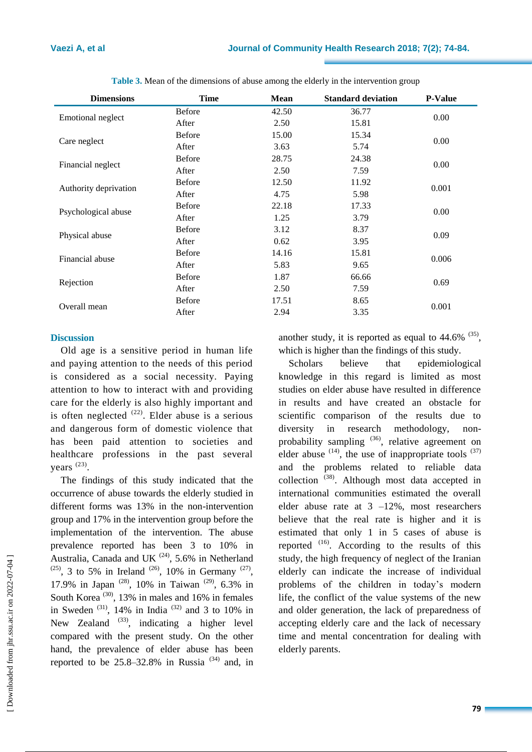| <b>Dimensions</b>     | Time          | Mean  | <b>Standard deviation</b> | <b>P-Value</b> |
|-----------------------|---------------|-------|---------------------------|----------------|
|                       | <b>Before</b> | 42.50 | 36.77                     | 0.00           |
| Emotional neglect     | After         | 2.50  | 15.81                     |                |
|                       | <b>Before</b> | 15.00 | 15.34                     | 0.00           |
| Care neglect          | After         | 3.63  | 5.74                      |                |
|                       | <b>Before</b> | 28.75 | 24.38                     |                |
| Financial neglect     | After         | 2.50  | 7.59                      | 0.00           |
|                       | <b>Before</b> | 12.50 | 11.92                     | 0.001          |
| Authority deprivation | After         | 4.75  | 5.98                      |                |
|                       | <b>Before</b> | 22.18 | 17.33                     | 0.00           |
| Psychological abuse   | After         | 1.25  | 3.79                      |                |
|                       | <b>Before</b> | 3.12  | 8.37                      | 0.09           |
| Physical abuse        | After         | 0.62  | 3.95                      |                |
| Financial abuse       | <b>Before</b> | 14.16 | 15.81                     | 0.006          |
|                       | After         | 5.83  | 9.65                      |                |
|                       | <b>Before</b> | 1.87  | 66.66                     | 0.69           |
| Rejection             | After         | 2.50  | 7.59                      |                |
|                       | <b>Before</b> | 17.51 | 8.65                      | 0.001          |
| Overall mean          | After         | 2.94  | 3.35                      |                |

**Table 3.** Mean of the dimensions of abuse among the elderly in the intervention group

#### **Discussion**

Old age is a sensitive period in human life and paying attention to the needs of this period is considered as a social necessity. Paying attention to how to interact with and providing care for the elderly is also highly important and is often neglected  $(22)$ . Elder abuse is a serious and dangerous form of domestic violence that has been paid attention to societies and healthcare professions in the past several years<sup>(23)</sup>.

The findings of this study indicated that the occurrence of abuse towards the elderly studied in different forms was 13% in the non-intervention group and 17% in the intervention group before the implementation of the intervention. The abuse prevalence reported has been 3 to 10% in Australia, Canada and UK $^{(24)}$ , 5.6% in Netherland  $(25)$ , 3 to 5% in Ireland  $(26)$ , 10% in Germany  $(27)$ , 17.9% in Japan (28), 10% in Taiwan (29), 6.3% in South Korea<sup>(30)</sup>, 13% in males and 16% in females in Sweden  $(31)$ , 14% in India  $(32)$  and 3 to 10% in New Zealand  $^{(33)}$ , indicating a higher level compared with the present study. On the other hand, the prevalence of elder abuse has been reported to be  $25.8-32.8\%$  in Russia<sup>(34)</sup> and, in

another study, it is reported as equal to  $44.6\%$ <sup>(35)</sup>, which is higher than the findings of this study.

Scholars believe that epidemiological knowledge in this regard is limited as most studies on elder abuse have resulted in difference in results and have created an obstacle for scientific comparison of the results due to diversity in research methodology, nonprobability sampling <sup>(36)</sup>, relative agreement on elder abuse  $(14)$ , the use of inappropriate tools  $(37)$ and the problems related to reliable data collection (38). Although most data accepted in international communities estimated the overall elder abuse rate at  $3 -12\%$ , most researchers believe that the real rate is higher and it is estimated that only 1 in 5 cases of abuse is reported  $(16)$ . According to the results of this study, the high frequency of neglect of the Iranian elderly can indicate the increase of individual problems of the children in today's modern life, the conflict of the value systems of the new and older generation, the lack of preparedness of accepting elderly care and the lack of necessary time and mental concentration for dealing with elderly parents.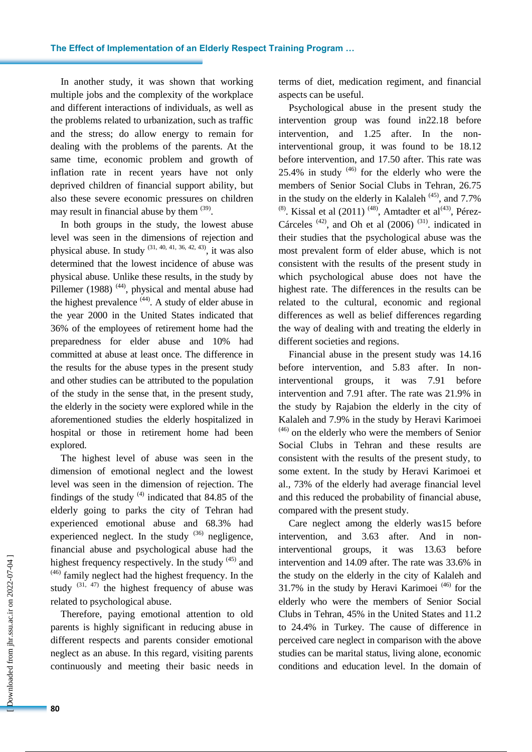In another study, it was shown that working multiple jobs and the complexity of the workplace and different interactions of individuals, as well as the problems related to urbanization, such as traffic and the stress; do allow energy to remain for dealing with the problems of the parents. At the same time, economic problem and growth of inflation rate in recent years have not only deprived children of financial support ability, but also these severe economic pressures on children may result in financial abuse by them <sup>(39)</sup>.

In both groups in the study, the lowest abuse level was seen in the dimensions of rejection and physical abuse. In study  $(31, 40, 41, 36, 42, 43)$ , it was also determined that the lowest incidence of abuse was physical abuse. Unlike these results, in the study by Pillemer (1988)  $(44)$ , physical and mental abuse had the highest prevalence  $(44)$ . A study of elder abuse in the year 2000 in the United States indicated that 36% of the employees of retirement home had the preparedness for elder abuse and 10% had committed at abuse at least once. The difference in the results for the abuse types in the present study and other studies can be attributed to the population of the study in the sense that, in the present study, the elderly in the society were explored while in the aforementioned studies the elderly hospitalized in hospital or those in retirement home had been explored.

The highest level of abuse was seen in the dimension of emotional neglect and the lowest level was seen in the dimension of rejection. The findings of the study  $(4)$  indicated that 84.85 of the elderly going to parks the city of Tehran had experienced emotional abuse and 68.3% had experienced neglect. In the study  $(36)$  negligence, financial abuse and psychological abuse had the highest frequency respectively. In the study  $(45)$  and  $(46)$  family neglect had the highest frequency. In the study  $(31, 47)$  the highest frequency of abuse was related to psychological abuse.

Therefore, paying emotional attention to old parents is highly significant in reducing abuse in different respects and parents consider emotional neglect as an abuse. In this regard, visiting parents continuously and meeting their basic needs in terms of diet, medication regiment, and financial aspects can be useful.

Psychological abuse in the present study the intervention group was found in22.18 before intervention, and 1.25 after. In the noninterventional group, it was found to be 18.12 before intervention, and 17.50 after. This rate was 25.4% in study  $(46)$  for the elderly who were the members of Senior Social Clubs in Tehran, 26.75 in the study on the elderly in Kalaleh  $(45)$ , and 7.7% <sup>(8)</sup>. Kissal et al (2011)<sup>(48)</sup>, Amtadter et al<sup>(43)</sup>, Pérez-Cárceles  $(42)$ , and Oh et al  $(2006)$   $(31)$ . indicated in their studies that the psychological abuse was the most prevalent form of elder abuse, which is not consistent with the results of the present study in which psychological abuse does not have the highest rate. The differences in the results can be related to the cultural, economic and regional differences as well as belief differences regarding the way of dealing with and treating the elderly in different societies and regions.

Financial abuse in the present study was 14.16 before intervention, and 5.83 after. In noninterventional groups, it was 7.91 before intervention and 7.91 after. The rate was 21.9% in the study by Rajabion the elderly in the city of Kalaleh and 7.9% in the study by Heravi Karimoei  $(46)$  on the elderly who were the members of Senior Social Clubs in Tehran and these results are consistent with the results of the present study, to some extent. In the study by Heravi Karimoei et al., 73% of the elderly had average financial level and this reduced the probability of financial abuse, compared with the present study.

Care neglect among the elderly was15 before intervention, and 3.63 after. And in noninterventional groups, it was 13.63 before intervention and 14.09 after. The rate was 33.6% in the study on the elderly in the city of Kalaleh and 31.7% in the study by Heravi Karimoei<sup> $(46)$ </sup> for the elderly who were the members of Senior Social Clubs in Tehran, 45% in the United States and 11.2 to 24.4% in Turkey. The cause of difference in perceived care neglect in comparison with the above studies can be marital status, living alone, economic conditions and education level. In the domain of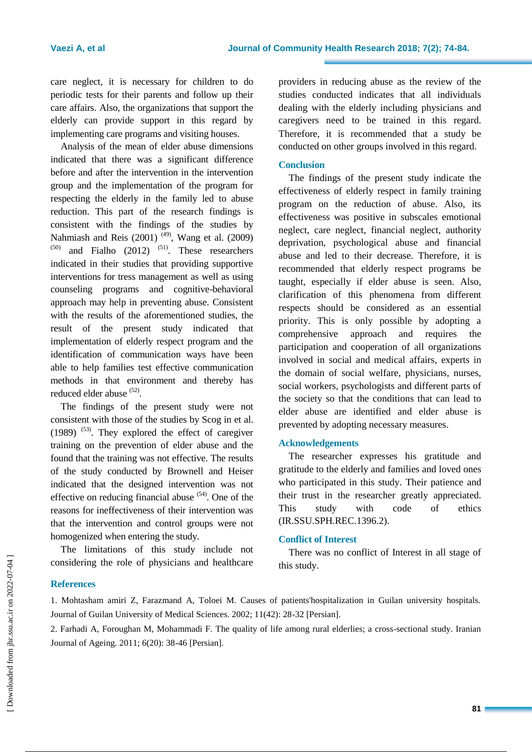care neglect, it is necessary for children to do periodic tests for their parents and follow up their care affairs. Also, the organizations that support the elderly can provide support in this regard by implementing care programs and visiting houses.

Analysis of the mean of elder abuse dimensions indicated that there was a significant difference before and after the intervention in the intervention group and the implementation of the program for respecting the elderly in the family led to abuse reduction. This part of the research findings is consistent with the findings of the studies by Nahmiash and Reis (2001)<sup>(49)</sup>, Wang et al. (2009) and Fialho  $(2012)$  <sup> $(51)$ </sup>. These researchers indicated in their studies that providing supportive interventions for tress management as well as using counseling programs and cognitive-behavioral approach may help in preventing abuse. Consistent with the results of the aforementioned studies, the result of the present study indicated that implementation of elderly respect program and the identification of communication ways have been able to help families test effective communication methods in that environment and thereby has reduced elder abuse <sup>(52)</sup>.

The findings of the present study were not consistent with those of the studies by Scog in et al.  $(1989)$ <sup> $(53)$ </sup>. They explored the effect of caregiver training on the prevention of elder abuse and the found that the training was not effective. The results of the study conducted by Brownell and Heiser indicated that the designed intervention was not effective on reducing financial abuse  $(54)$ . One of the reasons for ineffectiveness of their intervention was that the intervention and control groups were not homogenized when entering the study.

The limitations of this study include not considering the role of physicians and healthcare

providers in reducing abuse as the review of the studies conducted indicates that all individuals dealing with the elderly including physicians and caregivers need to be trained in this regard. Therefore, it is recommended that a study be conducted on other groups involved in this regard.

#### **Conclusion**

The findings of the present study indicate the effectiveness of elderly respect in family training program on the reduction of abuse. Also, its effectiveness was positive in subscales emotional neglect, care neglect, financial neglect, authority deprivation, psychological abuse and financial abuse and led to their decrease. Therefore, it is recommended that elderly respect programs be taught, especially if elder abuse is seen. Also, clarification of this phenomena from different respects should be considered as an essential priority. This is only possible by adopting a comprehensive approach and requires the participation and cooperation of all organizations involved in social and medical affairs, experts in the domain of social welfare, physicians, nurses, social workers, psychologists and different parts of the society so that the conditions that can lead to elder abuse are identified and elder abuse is prevented by adopting necessary measures.

#### **Acknowledgements**

The researcher expresses his gratitude and gratitude to the elderly and families and loved ones who participated in this study. Their patience and their trust in the researcher greatly appreciated. This study with code of ethics (IR.SSU.SPH.REC.1396.2).

#### **Conflict of Interest**

There was no conflict of Interest in all stage of this study.

#### **References**

1. Mohtasham amiri Z, Farazmand A, Toloei M. Causes of patients'hospitalization in Guilan university hospitals. Journal of Guilan University of Medical Sciences. 2002; 11(42): 28-32 [Persian].

2. Farhadi A, Foroughan M, Mohammadi F. The quality of life among rural elderlies; a cross-sectional study. Iranian Journal of Ageing. 2011; 6(20): 38-46 [Persian].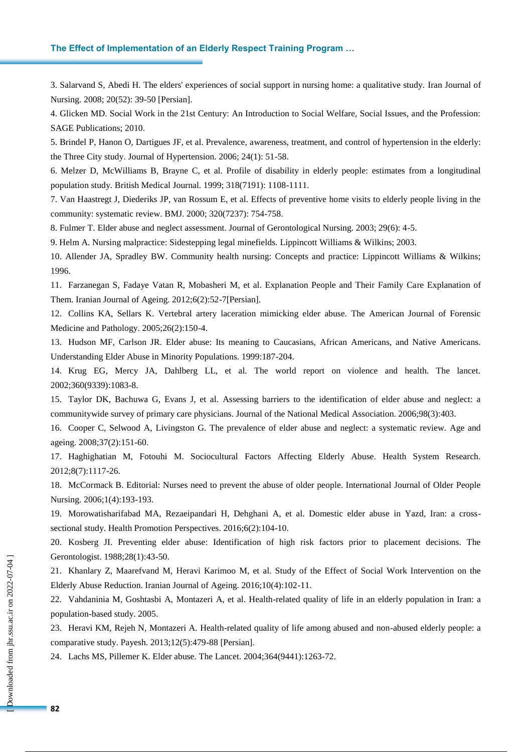#### **The Effect of Implementation of an Elderly Respect Training Program …**

3. Salarvand S, Abedi H. The elders' experiences of social support in nursing home: a qualitative study. Iran Journal of Nursing. 2008; 20(52): 39-50 [Persian].

4. Glicken MD. Social Work in the 21st Century: An Introduction to Social Welfare, Social Issues, and the Profession: SAGE Publications; 2010.

5. Brindel P, Hanon O, Dartigues JF, et al. Prevalence, awareness, treatment, and control of hypertension in the elderly: the Three City study. Journal of Hypertension. 2006; 24(1): 51-58.

6. Melzer D, McWilliams B, Brayne C, et al. Profile of disability in elderly people: estimates from a longitudinal population study. British Medical Journal. 1999; 318(7191): 1108-1111.

7. Van Haastregt J, Diederiks JP, van Rossum E, et al. Effects of preventive home visits to elderly people living in the community: systematic review. BMJ. 2000; 320(7237): 754-758.

8. Fulmer T. Elder abuse and neglect assessment. Journal of Gerontological Nursing. 2003; 29(6): 4-5.

9. [Helm](https://www.google.com/search?tbo=p&tbm=bks&q=inauthor:%22Ann+Helm%22&source=gbs_metadata_r&cad=3) A. Nursing malpractice: Sidestepping legal minefields. Lippincott Williams & Wilkins; 2003.

10. Allender JA, Spradley BW. Community health nursing: Concepts and practice: Lippincott Williams & Wilkins; 1996.

11. Farzanegan S, Fadaye Vatan R, Mobasheri M, et al. Explanation People and Their Family Care Explanation of Them. Iranian Journal of Ageing. 2012;6(2):52-7[Persian].

12. Collins KA, Sellars K. Vertebral artery laceration mimicking elder abuse. The American Journal of Forensic Medicine and Pathology. 2005;26(2):150-4.

13. Hudson MF, Carlson JR. Elder abuse: Its meaning to Caucasians, African Americans, and Native Americans. Understanding Elder Abuse in Minority Populations. 1999:187-204.

14. Krug EG, Mercy JA, Dahlberg LL, et al. The world report on violence and health. The lancet. 2002;360(9339):1083-8.

15. Taylor DK, Bachuwa G, Evans J, et al. Assessing barriers to the identification of elder abuse and neglect: a communitywide survey of primary care physicians. Journal of the National Medical Association. 2006;98(3):403.

16. Cooper C, Selwood A, Livingston G. The prevalence of elder abuse and neglect: a systematic review. Age and ageing. 2008;37(2):151-60.

17. Haghighatian M, Fotouhi M. Sociocultural Factors Affecting Elderly Abuse. Health System Research. 2012;8(7):1117-26.

18. McCormack B. Editorial: Nurses need to prevent the abuse of older people. International Journal of Older People Nursing. 2006;1(4):193-193.

19. Morowatisharifabad MA, Rezaeipandari H, Dehghani A, et al. Domestic elder abuse in Yazd, Iran: a crosssectional study. Health Promotion Perspectives. 2016;6(2):104-10.

20. Kosberg JI. Preventing elder abuse: Identification of high risk factors prior to placement decisions. The Gerontologist. 1988;28(1):43-50.

21. Khanlary Z, Maarefvand M, Heravi Karimoo M, et al. Study of the Effect of Social Work Intervention on the Elderly Abuse Reduction. Iranian Journal of Ageing. 2016;10(4):102-11.

22. Vahdaninia M, Goshtasbi A, Montazeri A, et al. Health-related quality of life in an elderly population in Iran: a population-based study. 2005.

23. Heravi KM, Rejeh N, Montazeri A. Health-related quality of life among abused and non-abused elderly people: a comparative study. Payesh. 2013;12(5):479-88 [Persian].

24. Lachs MS, Pillemer K. Elder abuse. The Lancet. 2004;364(9441):1263-72.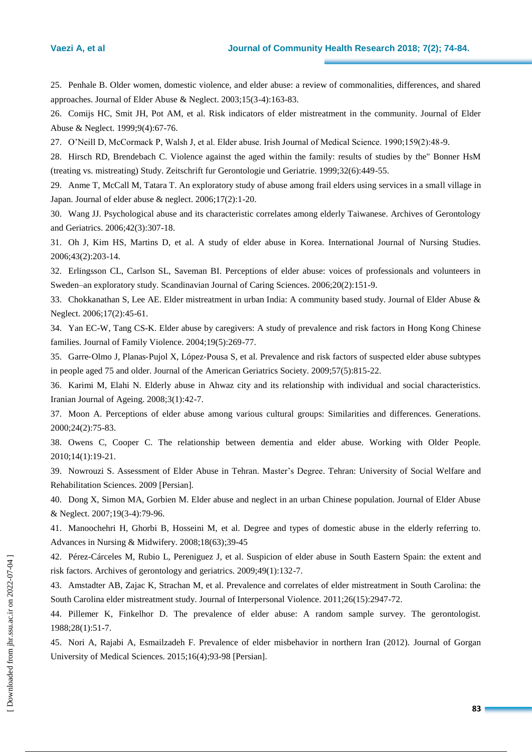25. Penhale B. Older women, domestic violence, and elder abuse: a review of commonalities, differences, and shared approaches. Journal of Elder Abuse & Neglect. 2003;15(3-4):163-83.

26. Comijs HC, Smit JH, Pot AM, et al. Risk indicators of elder mistreatment in the community. Journal of Elder Abuse & Neglect. 1999;9(4):67-76.

27. O'Neill D, McCormack P, Walsh J, et al. Elder abuse. Irish Journal of Medical Science. 1990;159(2):48-9.

28. Hirsch RD, Brendebach C. Violence against the aged within the family: results of studies by the" Bonner HsM (treating vs. mistreating) Study. Zeitschrift fur Gerontologie und Geriatrie. 1999;32(6):449-55.

29. Anme T, McCall M, Tatara T. An exploratory study of abuse among frail elders using services in a small village in Japan. Journal of elder abuse & neglect. 2006;17(2):1-20.

30. Wang JJ. Psychological abuse and its characteristic correlates among elderly Taiwanese. Archives of Gerontology and Geriatrics. 2006;42(3):307-18.

31. Oh J, Kim HS, Martins D, et al. A study of elder abuse in Korea. International Journal of Nursing Studies. 2006;43(2):203-14.

32. Erlingsson CL, Carlson SL, Saveman BI. Perceptions of elder abuse: voices of professionals and volunteers in Sweden–an exploratory study. Scandinavian Journal of Caring Sciences. 2006;20(2):151-9.

33. Chokkanathan S, Lee AE. Elder mistreatment in urban India: A community based study. Journal of Elder Abuse & Neglect. 2006;17(2):45-61.

34. Yan EC-W, Tang CS-K. Elder abuse by caregivers: A study of prevalence and risk factors in Hong Kong Chinese families. Journal of Family Violence. 2004;19(5):269-77.

35. Garre‐Olmo J, Planas‐Pujol X, López‐Pousa S, et al. Prevalence and risk factors of suspected elder abuse subtypes in people aged 75 and older. Journal of the American Geriatrics Society. 2009;57(5):815-22.

36. Karimi M, Elahi N. Elderly abuse in Ahwaz city and its relationship with individual and social characteristics. Iranian Journal of Ageing. 2008;3(1):42-7.

37. Moon A. Perceptions of elder abuse among various cultural groups: Similarities and differences. Generations. 2000;24(2):75-83.

38. Owens C, Cooper C. The relationship between dementia and elder abuse. Working with Older People. 2010;14(1):19-21.

39. Nowrouzi S. Assessment of Elder Abuse in Tehran. Master's Degree. Tehran: University of Social Welfare and Rehabilitation Sciences. 2009 [Persian].

40. Dong X, Simon MA, Gorbien M. Elder abuse and neglect in an urban Chinese population. Journal of Elder Abuse & Neglect. 2007;19(3-4):79-96.

41. Manoochehri H, Ghorbi B, Hosseini M, et al. Degree and types of domestic abuse in the elderly referring to. Advances in Nursing & Midwifery. 2008;18(63);39-45

42. Pérez-Cárceles M, Rubio L, Pereniguez J, et al. Suspicion of elder abuse in South Eastern Spain: the extent and risk factors. Archives of gerontology and geriatrics. 2009;49(1):132-7.

43. Amstadter AB, Zajac K, Strachan M, et al. Prevalence and correlates of elder mistreatment in South Carolina: the South Carolina elder mistreatment study. Journal of Interpersonal Violence. 2011;26(15):2947-72.

44. Pillemer K, Finkelhor D. The prevalence of elder abuse: A random sample survey. The gerontologist. 1988;28(1):51-7.

45. Nori A, Rajabi A, Esmailzadeh F. Prevalence of elder misbehavior in northern Iran (2012). Journal of Gorgan University of Medical Sciences. 2015;16(4);93-98 [Persian].